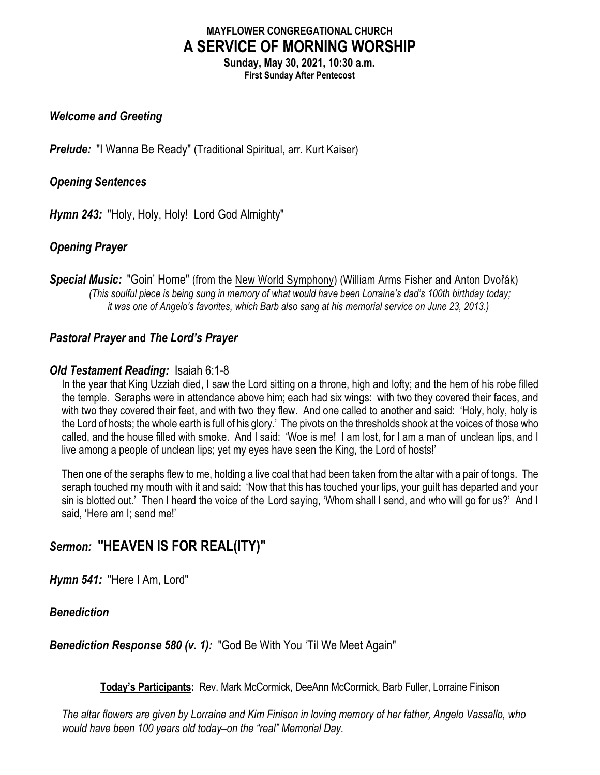# **MAYFLOWER CONGREGATIONAL CHURCH A SERVICE OF MORNING WORSHIP**

**Sunday, May 30, 2021, 10:30 a.m. First Sunday After Pentecost**

# *Welcome and Greeting*

**Prelude:** "I Wanna Be Ready" (Traditional Spiritual, arr. Kurt Kaiser)

### *Opening Sentences*

*Hymn 243:* "Holy, Holy, Holy! Lord God Almighty"

# *Opening Prayer*

**Special Music:** "Goin' Home" (from the New World Symphony) (William Arms Fisher and Anton Dvořák) *(This soulful piece is being sung in memory of what would have been Lorraine's dad's 100th birthday today; it was one of Angelo's favorites, which Barb also sang at his memorial service on June 23, 2013.)*

# *Pastoral Prayer* **and** *The Lord's Prayer*

#### *Old Testament Reading:* Isaiah 6:1-8

In the year that King Uzziah died, I saw the Lord sitting on a throne, high and lofty; and the hem of his robe filled the temple. Seraphs were in attendance above him; each had six wings: with two they covered their faces, and with two they covered their feet, and with two they flew. And one called to another and said: 'Holy, holy, holy is the Lord of hosts; the whole earth is full of his glory.' The pivots on the thresholds shook at the voices of those who called, and the house filled with smoke. And I said: 'Woe is me! I am lost, for I am a man of unclean lips, and I live among a people of unclean lips; yet my eyes have seen the King, the Lord of hosts!'

Then one of the seraphs flew to me, holding a live coal that had been taken from the altar with a pair of tongs. The seraph touched my mouth with it and said: 'Now that this has touched your lips, your guilt has departed and your sin is blotted out.' Then I heard the voice of the Lord saying, 'Whom shall I send, and who will go for us?' And I said, 'Here am I; send me!'

# *Sermon:* **"HEAVEN IS FOR REAL(ITY)"**

*Hymn 541:* "Here I Am, Lord"

#### *Benediction*

*Benediction Response 580 (v. 1):* "God Be With You 'Til We Meet Again"

**Today's Participants:** Rev. Mark McCormick, DeeAnn McCormick, Barb Fuller, Lorraine Finison

*The altar flowers are given by Lorraine and Kim Finison in loving memory of her father, Angelo Vassallo, who would have been 100 years old today–on the "real" Memorial Day.*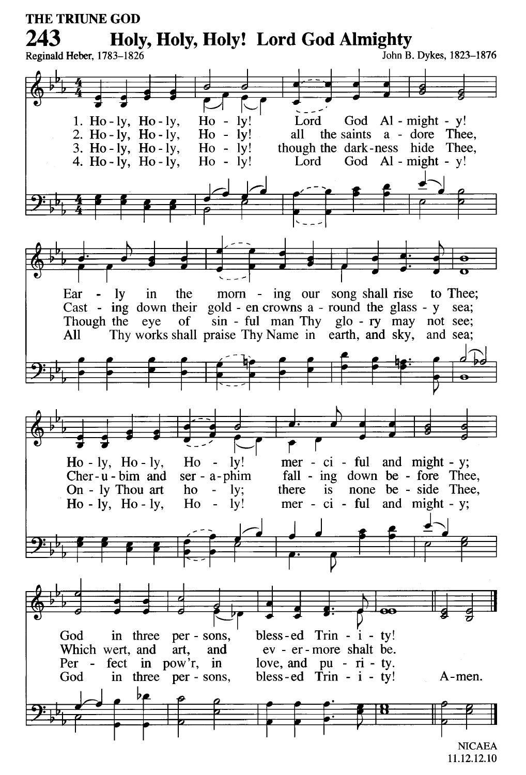

<sup>11.12.12.10</sup>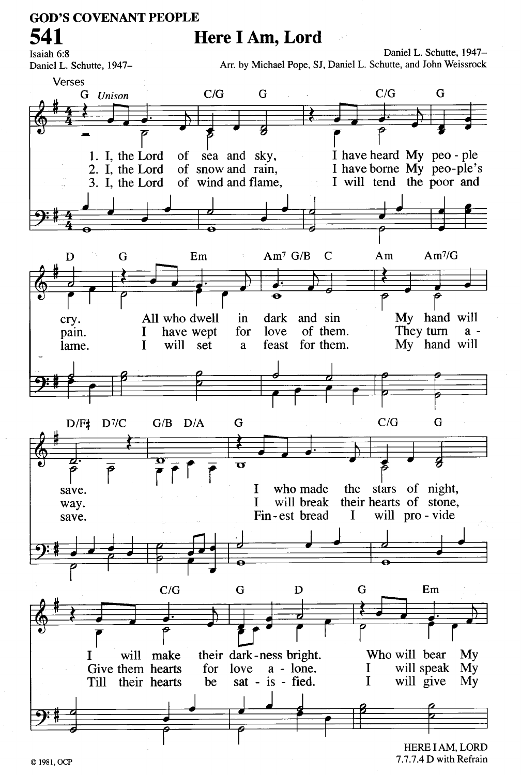# **GOD'S COVENANT PEOPLE** 541

Isaiah 6:8

# Here I Am, Lord

Arr. by Michael Pope, SJ, Daniel L. Schutte, and John Weissrock Daniel L. Schutte, 1947-Verses  $C/G$ G  $C/G$ G G Unison I have heard My peo-ple 1. I. the Lord of sea and sky, I have borne My peo-ple's 2. I. the Lord of snow and rain. 3. I. the Lord of wind and flame. I will tend the poor and  $Am<sup>7</sup>/G$  $Am^7$  G/B G Em  $\mathbf C$  $Am$ D  $\overline{\mathbf{o}}$  $\overline{\rho}$ My hand will All who dwell in dark and sin cry. of them. They turn have wept for love I  $a$ pain.  $\mathbf I$ will set feast for them. My hand will lame.  $\mathbf{a}$  $C/G$ G G  $D/F#$  $D^{7}/C$  $G/B$   $D/A$ ರ  $\overline{\mathbf{o}}$ the stars of night, who made I save. their hearts of stone, will break T way. Fin-est bread  $\mathbf I$ will pro - vide save.  $C/G$ G D G  $Em$ Who will bear T will make their dark-ness bright. My will speak My Give them hearts for love  $a - l$ one. I sat - is - fied.  $\mathbf I$ will give Till their hearts be  $Mv$ 

HERE I AM, LORD 7.7.7.4 D with Refrain

Daniel L. Schutte, 1947-

© 1981, OCP